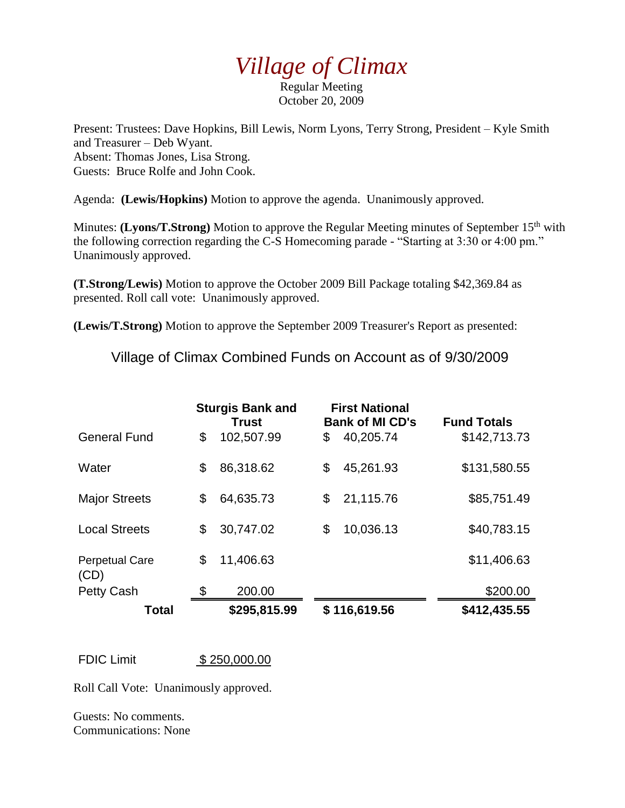## *Village of Climax*

Regular Meeting October 20, 2009

Present: Trustees: Dave Hopkins, Bill Lewis, Norm Lyons, Terry Strong, President – Kyle Smith and Treasurer – Deb Wyant. Absent: Thomas Jones, Lisa Strong. Guests: Bruce Rolfe and John Cook.

Agenda: **(Lewis/Hopkins)** Motion to approve the agenda. Unanimously approved.

Minutes: (Lyons/T.Strong) Motion to approve the Regular Meeting minutes of September 15<sup>th</sup> with the following correction regarding the C-S Homecoming parade - "Starting at 3:30 or 4:00 pm." Unanimously approved.

**(T.Strong/Lewis)** Motion to approve the October 2009 Bill Package totaling \$42,369.84 as presented. Roll call vote: Unanimously approved.

**(Lewis/T.Strong)** Motion to approve the September 2009 Treasurer's Report as presented:

Village of Climax Combined Funds on Account as of 9/30/2009

|                               | <b>Sturgis Bank and</b><br><b>Trust</b> |              | <b>First National</b><br><b>Bank of MI CD's</b> | <b>Fund Totals</b> |
|-------------------------------|-----------------------------------------|--------------|-------------------------------------------------|--------------------|
| <b>General Fund</b>           | \$                                      | 102,507.99   | \$<br>40,205.74                                 | \$142,713.73       |
| Water                         | \$                                      | 86,318.62    | \$<br>45,261.93                                 | \$131,580.55       |
| <b>Major Streets</b>          | \$                                      | 64,635.73    | \$<br>21,115.76                                 | \$85,751.49        |
| <b>Local Streets</b>          | \$                                      | 30,747.02    | \$<br>10,036.13                                 | \$40,783.15        |
| <b>Perpetual Care</b><br>(CD) | \$                                      | 11,406.63    |                                                 | \$11,406.63        |
| <b>Petty Cash</b>             | \$                                      | 200.00       |                                                 | \$200.00           |
| <b>Total</b>                  |                                         | \$295,815.99 | \$116,619.56                                    | \$412,435.55       |

FDIC Limit \$ 250,000.00

Roll Call Vote: Unanimously approved.

Guests: No comments. Communications: None